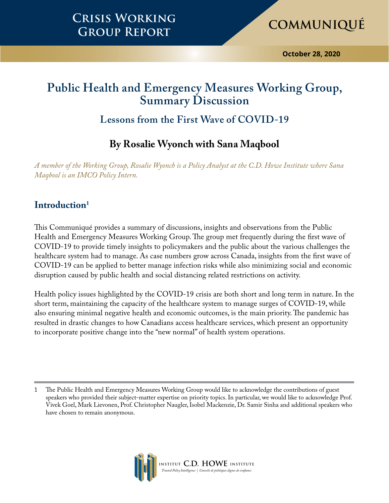

**October 28, 2020**

## **Public Health and Emergency Measures Working Group, Summary Discussion**

## **Lessons from the First Wave of COVID-19**

## **By Rosalie Wyonch with Sana Maqbool**

*A member of the Working Group, Rosalie Wyonch is a Policy Analyst at the C.D. Howe Institute where Sana Maqbool is an IMCO Policy Intern.*

### **Introduction1**

This Communiqué provides a summary of discussions, insights and observations from the Public Health and Emergency Measures Working Group. The group met frequently during the first wave of COVID-19 to provide timely insights to policymakers and the public about the various challenges the healthcare system had to manage. As case numbers grow across Canada, insights from the first wave of COVID-19 can be applied to better manage infection risks while also minimizing social and economic disruption caused by public health and social distancing related restrictions on activity.

Health policy issues highlighted by the COVID-19 crisis are both short and long term in nature. In the short term, maintaining the capacity of the healthcare system to manage surges of COVID-19, while also ensuring minimal negative health and economic outcomes, is the main priority. The pandemic has resulted in drastic changes to how Canadians access healthcare services, which present an opportunity to incorporate positive change into the "new normal" of health system operations.



<sup>1</sup> The Public Health and Emergency Measures Working Group would like to acknowledge the contributions of guest speakers who provided their subject-matter expertise on priority topics. In particular, we would like to acknowledge Prof. Vivek Goel, Mark Lievonen, Prof. Christopher Naugler, Isobel Mackenzie, Dr. Samir Sinha and additional speakers who have chosen to remain anonymous.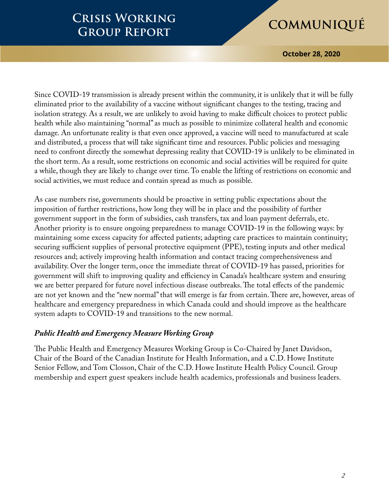# **Crisis Working GROUP REPORT COMMUNIQUÉ**

**October 28, 2020**

Since COVID-19 transmission is already present within the community, it is unlikely that it will be fully eliminated prior to the availability of a vaccine without significant changes to the testing, tracing and isolation strategy. As a result, we are unlikely to avoid having to make difficult choices to protect public health while also maintaining "normal" as much as possible to minimize collateral health and economic damage. An unfortunate reality is that even once approved, a vaccine will need to manufactured at scale and distributed, a process that will take significant time and resources. Public policies and messaging need to confront directly the somewhat depressing reality that COVID-19 is unlikely to be eliminated in the short term. As a result, some restrictions on economic and social activities will be required for quite a while, though they are likely to change over time. To enable the lifting of restrictions on economic and social activities, we must reduce and contain spread as much as possible.

As case numbers rise, governments should be proactive in setting public expectations about the imposition of further restrictions, how long they will be in place and the possibility of further government support in the form of subsidies, cash transfers, tax and loan payment deferrals, etc. Another priority is to ensure ongoing preparedness to manage COVID-19 in the following ways: by maintaining some excess capacity for affected patients; adapting care practices to maintain continuity; securing sufficient supplies of personal protective equipment (PPE), testing inputs and other medical resources and; actively improving health information and contact tracing comprehensiveness and availability. Over the longer term, once the immediate threat of COVID-19 has passed, priorities for government will shift to improving quality and efficiency in Canada's healthcare system and ensuring we are better prepared for future novel infectious disease outbreaks. The total effects of the pandemic are not yet known and the "new normal" that will emerge is far from certain. There are, however, areas of healthcare and emergency preparedness in which Canada could and should improve as the healthcare system adapts to COVID-19 and transitions to the new normal.

### *Public Health and Emergency Measure Working Group*

The Public Health and Emergency Measures Working Group is Co-Chaired by Janet Davidson, Chair of the Board of the Canadian Institute for Health Information, and a C.D. Howe Institute Senior Fellow, and Tom Closson, Chair of the C.D. Howe Institute Health Policy Council. Group membership and expert guest speakers include health academics, professionals and business leaders.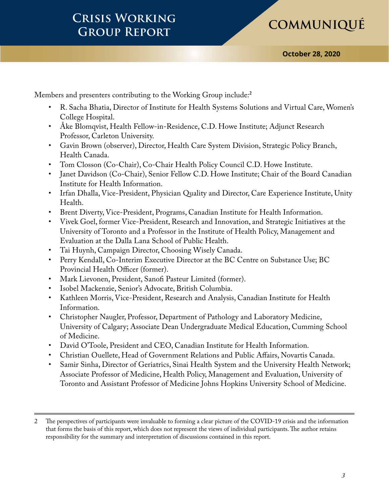**October 28, 2020**

Members and presenters contributing to the Working Group include:**<sup>2</sup>**

- R. Sacha Bhatia, Director of Institute for Health Systems Solutions and Virtual Care, Women's College Hospital.
- Åke Blomqvist, Health Fellow-in-Residence, C.D. Howe Institute; Adjunct Research Professor, Carleton University.
- Gavin Brown (observer), Director, Health Care System Division, Strategic Policy Branch, Health Canada.
- Tom Closson (Co-Chair), Co-Chair Health Policy Council C.D. Howe Institute.
- Janet Davidson (Co-Chair), Senior Fellow C.D. Howe Institute; Chair of the Board Canadian Institute for Health Information.
- Irfan Dhalla, Vice-President, Physician Quality and Director, Care Experience Institute, Unity Health.
- Brent Diverty, Vice-President, Programs, Canadian Institute for Health Information.
- Vivek Goel, former Vice-President, Research and Innovation, and Strategic Initiatives at the University of Toronto and a Professor in the Institute of Health Policy, Management and Evaluation at the Dalla Lana School of Public Health.
- Tai Huynh, Campaign Director, Choosing Wisely Canada.
- Perry Kendall, Co-Interim Executive Director at the BC Centre on Substance Use; BC Provincial Health Officer (former).
- Mark Lievonen, President, Sanofi Pasteur Limited (former).
- Isobel Mackenzie, Senior's Advocate, British Columbia.
- Kathleen Morris, Vice-President, Research and Analysis, Canadian Institute for Health Information.
- Christopher Naugler, Professor, Department of Pathology and Laboratory Medicine, University of Calgary; Associate Dean Undergraduate Medical Education, Cumming School of Medicine.
- David O'Toole, President and CEO, Canadian Institute for Health Information.
- Christian Ouellete, Head of Government Relations and Public Affairs, Novartis Canada.
- Samir Sinha, Director of Geriatrics, Sinai Health System and the University Health Network; Associate Professor of Medicine, Health Policy, Management and Evaluation, University of Toronto and Assistant Professor of Medicine Johns Hopkins University School of Medicine.

<sup>2</sup> The perspectives of participants were invaluable to forming a clear picture of the COVID-19 crisis and the information that forms the basis of this report, which does not represent the views of individual participants. The author retains responsibility for the summary and interpretation of discussions contained in this report.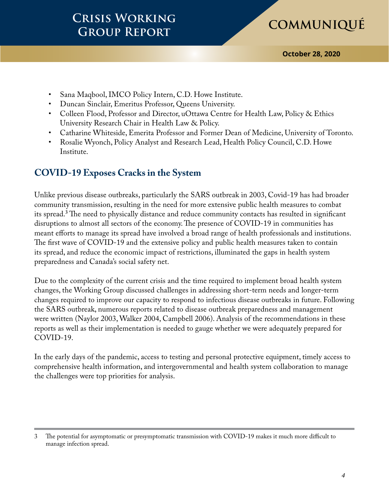

**October 28, 2020**

- Sana Maqbool, IMCO Policy Intern, C.D. Howe Institute.<br>• Duncan Sinclair. Emeritus Professor. Oueens University.
- Duncan Sinclair, Emeritus Professor, Queens University.
- Colleen Flood, Professor and Director, uOttawa Centre for Health Law, Policy & Ethics University Research Chair in Health Law & Policy.
- Catharine Whiteside, Emerita Professor and Former Dean of Medicine, University of Toronto.
- Rosalie Wyonch, Policy Analyst and Research Lead, Health Policy Council, C.D. Howe Institute.

### **COVID-19 Exposes Cracks in the System**

Unlike previous disease outbreaks, particularly the SARS outbreak in 2003, Covid-19 has had broader community transmission, resulting in the need for more extensive public health measures to combat its spread.**<sup>3</sup>** The need to physically distance and reduce community contacts has resulted in significant disruptions to almost all sectors of the economy. The presence of COVID-19 in communities has meant efforts to manage its spread have involved a broad range of health professionals and institutions. The first wave of COVID-19 and the extensive policy and public health measures taken to contain its spread, and reduce the economic impact of restrictions, illuminated the gaps in health system preparedness and Canada's social safety net.

Due to the complexity of the current crisis and the time required to implement broad health system changes, the Working Group discussed challenges in addressing short-term needs and longer-term changes required to improve our capacity to respond to infectious disease outbreaks in future. Following the SARS outbreak, numerous reports related to disease outbreak preparedness and management were written (Naylor 2003, Walker 2004, Campbell 2006). Analysis of the recommendations in these reports as well as their implementation is needed to gauge whether we were adequately prepared for COVID-19.

In the early days of the pandemic, access to testing and personal protective equipment, timely access to comprehensive health information, and intergovernmental and health system collaboration to manage the challenges were top priorities for analysis.

<sup>3</sup> The potential for asymptomatic or presymptomatic transmission with COVID-19 makes it much more difficult to manage infection spread.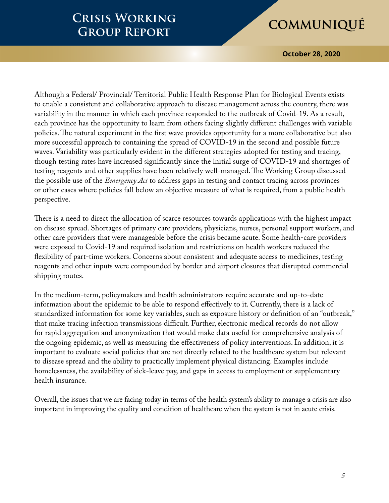**October 28, 2020**

Although a Federal/ Provincial/ Territorial Public Health Response Plan for Biological Events exists to enable a consistent and collaborative approach to disease management across the country, there was variability in the manner in which each province responded to the outbreak of Covid-19. As a result, each province has the opportunity to learn from others facing slightly different challenges with variable policies. The natural experiment in the first wave provides opportunity for a more collaborative but also more successful approach to containing the spread of COVID-19 in the second and possible future waves. Variability was particularly evident in the different strategies adopted for testing and tracing, though testing rates have increased significantly since the initial surge of COVID-19 and shortages of testing reagents and other supplies have been relatively well-managed. The Working Group discussed the possible use of the *Emergency Act* to address gaps in testing and contact tracing across provinces or other cases where policies fall below an objective measure of what is required, from a public health perspective.

There is a need to direct the allocation of scarce resources towards applications with the highest impact on disease spread. Shortages of primary care providers, physicians, nurses, personal support workers, and other care providers that were manageable before the crisis became acute. Some health-care providers were exposed to Covid-19 and required isolation and restrictions on health workers reduced the flexibility of part-time workers. Concerns about consistent and adequate access to medicines, testing reagents and other inputs were compounded by border and airport closures that disrupted commercial shipping routes.

In the medium-term, policymakers and health administrators require accurate and up-to-date information about the epidemic to be able to respond effectively to it. Currently, there is a lack of standardized information for some key variables, such as exposure history or definition of an "outbreak," that make tracing infection transmissions difficult. Further, electronic medical records do not allow for rapid aggregation and anonymization that would make data useful for comprehensive analysis of the ongoing epidemic, as well as measuring the effectiveness of policy interventions. In addition, it is important to evaluate social policies that are not directly related to the healthcare system but relevant to disease spread and the ability to practically implement physical distancing. Examples include homelessness, the availability of sick-leave pay, and gaps in access to employment or supplementary health insurance.

Overall, the issues that we are facing today in terms of the health system's ability to manage a crisis are also important in improving the quality and condition of healthcare when the system is not in acute crisis.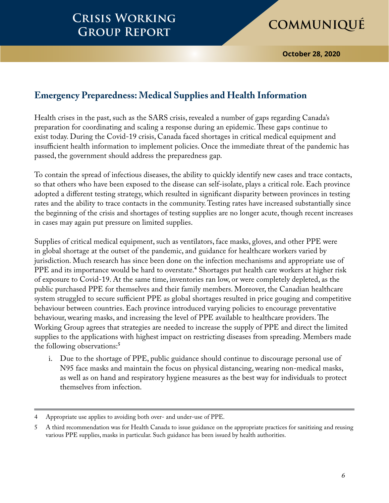

### **Emergency Preparedness: Medical Supplies and Health Information**

Health crises in the past, such as the SARS crisis, revealed a number of gaps regarding Canada's preparation for coordinating and scaling a response during an epidemic. These gaps continue to exist today. During the Covid-19 crisis, Canada faced shortages in critical medical equipment and insufficient health information to implement policies. Once the immediate threat of the pandemic has passed, the government should address the preparedness gap.

To contain the spread of infectious diseases, the ability to quickly identify new cases and trace contacts, so that others who have been exposed to the disease can self-isolate, plays a critical role. Each province adopted a different testing strategy, which resulted in significant disparity between provinces in testing rates and the ability to trace contacts in the community. Testing rates have increased substantially since the beginning of the crisis and shortages of testing supplies are no longer acute, though recent increases in cases may again put pressure on limited supplies.

Supplies of critical medical equipment, such as ventilators, face masks, gloves, and other PPE were in global shortage at the outset of the pandemic, and guidance for healthcare workers varied by jurisdiction. Much research has since been done on the infection mechanisms and appropriate use of PPE and its importance would be hard to overstate.**<sup>4</sup>** Shortages put health care workers at higher risk of exposure to Covid-19. At the same time, inventories ran low, or were completely depleted, as the public purchased PPE for themselves and their family members. Moreover, the Canadian healthcare system struggled to secure sufficient PPE as global shortages resulted in price gouging and competitive behaviour between countries. Each province introduced varying policies to encourage preventative behaviour, wearing masks, and increasing the level of PPE available to healthcare providers. The Working Group agrees that strategies are needed to increase the supply of PPE and direct the limited supplies to the applications with highest impact on restricting diseases from spreading. Members made the following observations:**<sup>5</sup>**

i. Due to the shortage of PPE, public guidance should continue to discourage personal use of N95 face masks and maintain the focus on physical distancing, wearing non-medical masks, as well as on hand and respiratory hygiene measures as the best way for individuals to protect themselves from infection.

<sup>4</sup> Appropriate use applies to avoiding both over- and under-use of PPE.

<sup>5</sup> A third recommendation was for Health Canada to issue guidance on the appropriate practices for sanitizing and reusing various PPE supplies, masks in particular. Such guidance has been issued by health authorities.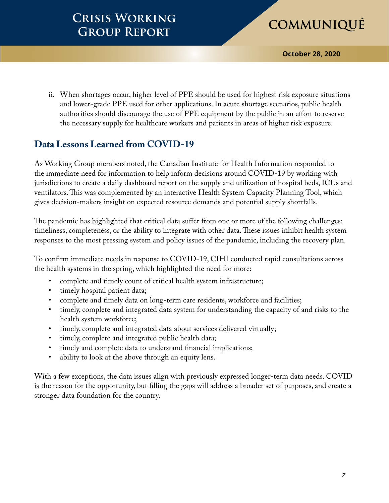**October 28, 2020**

ii. When shortages occur, higher level of PPE should be used for highest risk exposure situations and lower-grade PPE used for other applications. In acute shortage scenarios, public health authorities should discourage the use of PPE equipment by the public in an effort to reserve the necessary supply for healthcare workers and patients in areas of higher risk exposure.

## **Data Lessons Learned from COVID-19**

As Working Group members noted, the Canadian Institute for Health Information responded to the immediate need for information to help inform decisions around COVID-19 by working with jurisdictions to create a daily dashboard report on the supply and utilization of hospital beds, ICUs and ventilators. This was complemented by an interactive Health System Capacity Planning Tool, which gives decision-makers insight on expected resource demands and potential supply shortfalls.

The pandemic has highlighted that critical data suffer from one or more of the following challenges: timeliness, completeness, or the ability to integrate with other data. These issues inhibit health system responses to the most pressing system and policy issues of the pandemic, including the recovery plan.

To confirm immediate needs in response to COVID-19, CIHI conducted rapid consultations across the health systems in the spring, which highlighted the need for more:

- complete and timely count of critical health system infrastructure;
- timely hospital patient data;<br>• complete and timely data on
- complete and timely data on long-term care residents, workforce and facilities;
- timely, complete and integrated data system for understanding the capacity of and risks to the health system workforce;
- timely, complete and integrated data about services delivered virtually;
- timely, complete and integrated public health data;
- timely and complete data to understand financial implications;
- ability to look at the above through an equity lens.

With a few exceptions, the data issues align with previously expressed longer-term data needs. COVID is the reason for the opportunity, but filling the gaps will address a broader set of purposes, and create a stronger data foundation for the country.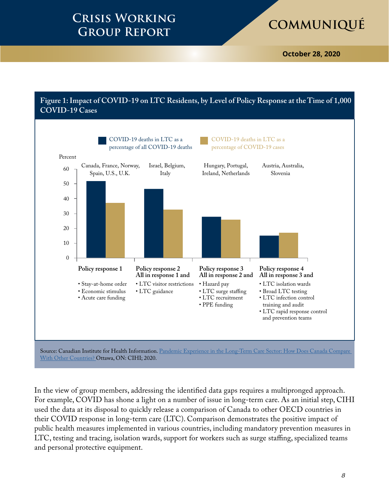## **Crisis Working GROUP REPORT COMMUNIQUÉ**

**October 28, 2020**



[With Other Countries?](https://www.cihi.ca/sites/default/files/document/covid-19-rapid-response-long-term-care-snapshot-en.pdf) Ottawa, ON: CIHI; 2020.

In the view of group members, addressing the identified data gaps requires a multipronged approach. For example, COVID has shone a light on a number of issue in long-term care. As an initial step, CIHI used the data at its disposal to quickly release a comparison of Canada to other OECD countries in their COVID response in long-term care (LTC). Comparison demonstrates the positive impact of public health measures implemented in various countries, including mandatory prevention measures in LTC, testing and tracing, isolation wards, support for workers such as surge staffing, specialized teams and personal protective equipment.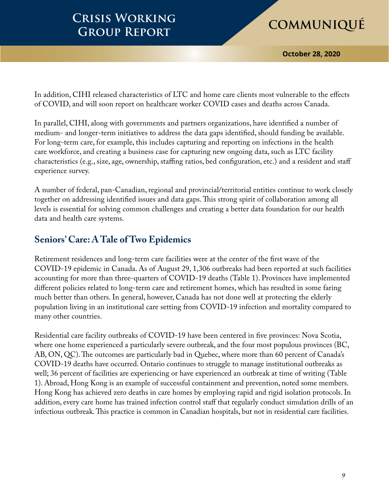**October 28, 2020**

In addition, CIHI released characteristics of LTC and home care clients most vulnerable to the effects of COVID, and will soon report on healthcare worker COVID cases and deaths across Canada.

In parallel, CIHI, along with governments and partners organizations, have identified a number of medium- and longer-term initiatives to address the data gaps identified, should funding be available. For long-term care, for example, this includes capturing and reporting on infections in the health care workforce, and creating a business case for capturing new ongoing data, such as LTC facility characteristics (e.g., size, age, ownership, staffing ratios, bed configuration, etc.) and a resident and staff experience survey.

A number of federal, pan-Canadian, regional and provincial/territorial entities continue to work closely together on addressing identified issues and data gaps. This strong spirit of collaboration among all levels is essential for solving common challenges and creating a better data foundation for our health data and health care systems.

### **Seniors' Care: A Tale of Two Epidemics**

Retirement residences and long-term care facilities were at the center of the first wave of the COVID-19 epidemic in Canada. As of August 29, 1,306 outbreaks had been reported at such facilities accounting for more than three-quarters of COVID-19 deaths (Table 1). Provinces have implemented different policies related to long-term care and retirement homes, which has resulted in some faring much better than others. In general, however, Canada has not done well at protecting the elderly population living in an institutional care setting from COVID-19 infection and mortality compared to many other countries.

Residential care facility outbreaks of COVID-19 have been centered in five provinces: Nova Scotia, where one home experienced a particularly severe outbreak, and the four most populous provinces (BC, AB, ON, QC). The outcomes are particularly bad in Quebec, where more than 60 percent of Canada's COVID-19 deaths have occurred. Ontario continues to struggle to manage institutional outbreaks as well; 36 percent of facilities are experiencing or have experienced an outbreak at time of writing (Table 1). Abroad, Hong Kong is an example of successful containment and prevention, noted some members. Hong Kong has achieved zero deaths in care homes by employing rapid and rigid isolation protocols. In addition, every care home has trained infection control staff that regularly conduct simulation drills of an infectious outbreak. This practice is common in Canadian hospitals, but not in residential care facilities.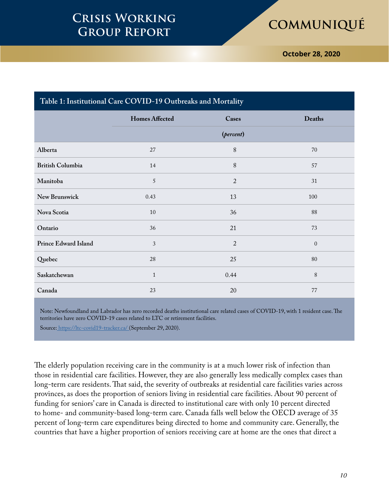**October 28, 2020**

| Table 1: Institutional Care COVID-19 Outbreaks and Mortality |                       |                |              |
|--------------------------------------------------------------|-----------------------|----------------|--------------|
|                                                              | <b>Homes Affected</b> | Cases          | Deaths       |
|                                                              |                       | (percent)      |              |
| Alberta                                                      | 27                    | 8              | 70           |
| <b>British Columbia</b>                                      | 14                    | 8              | 57           |
| Manitoba                                                     | $\sqrt{5}$            | $\overline{2}$ | 31           |
| New Brunswick                                                | 0.43                  | 13             | 100          |
| Nova Scotia                                                  | $10\,$                | 36             | $88\,$       |
| Ontario                                                      | 36                    | 21             | 73           |
| <b>Prince Edward Island</b>                                  | $\mathfrak{Z}$        | $\overline{2}$ | $\mathbf{0}$ |
| Quebec                                                       | 28                    | 25             | $80\,$       |
| Saskatchewan                                                 | $\mathbf{1}$          | 0.44           | $8\,$        |
| Canada                                                       | 23                    | 20             | 77           |

Note: Newfoundland and Labrador has zero recorded deaths institutional care related cases of COVID-19, with 1 resident case. The territories have zero COVID-19 cases related to LTC or retirement facilities.

Source: [https://ltc-covid19-tracker.ca/]( https://ltc-covid19-tracker.ca/ ) (September 29, 2020).

The elderly population receiving care in the community is at a much lower risk of infection than those in residential care facilities. However, they are also generally less medically complex cases than long-term care residents. That said, the severity of outbreaks at residential care facilities varies across provinces, as does the proportion of seniors living in residential care facilities. About 90 percent of funding for seniors' care in Canada is directed to institutional care with only 10 percent directed to home- and community-based long-term care. Canada falls well below the OECD average of 35 percent of long-term care expenditures being directed to home and community care. Generally, the countries that have a higher proportion of seniors receiving care at home are the ones that direct a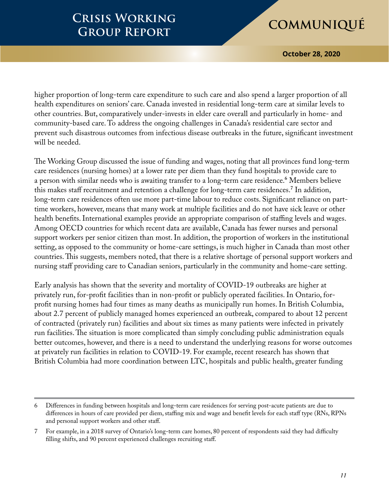**October 28, 2020**

higher proportion of long-term care expenditure to such care and also spend a larger proportion of all health expenditures on seniors' care. Canada invested in residential long-term care at similar levels to other countries. But, comparatively under-invests in elder care overall and particularly in home- and community-based care. To address the ongoing challenges in Canada's residential care sector and prevent such disastrous outcomes from infectious disease outbreaks in the future, significant investment will be needed.

The Working Group discussed the issue of funding and wages, noting that all provinces fund long-term care residences (nursing homes) at a lower rate per diem than they fund hospitals to provide care to a person with similar needs who is awaiting transfer to a long-term care residence.**<sup>6</sup>** Members believe this makes staff recruitment and retention a challenge for long-term care residences.**<sup>7</sup>** In addition, long-term care residences often use more part-time labour to reduce costs. Significant reliance on parttime workers, however, means that many work at multiple facilities and do not have sick leave or other health benefits. International examples provide an appropriate comparison of staffing levels and wages. Among OECD countries for which recent data are available, Canada has fewer nurses and personal support workers per senior citizen than most. In addition, the proportion of workers in the institutional setting, as opposed to the community or home-care settings, is much higher in Canada than most other countries. This suggests, members noted, that there is a relative shortage of personal support workers and nursing staff providing care to Canadian seniors, particularly in the community and home-care setting.

Early analysis has shown that the severity and mortality of COVID-19 outbreaks are higher at privately run, for-profit facilities than in non-profit or publicly operated facilities. In Ontario, forprofit nursing homes had four times as many deaths as municipally run homes. In British Columbia, about 2.7 percent of publicly managed homes experienced an outbreak, compared to about 12 percent of contracted (privately run) facilities and about six times as many patients were infected in privately run facilities. The situation is more complicated than simply concluding public administration equals better outcomes, however, and there is a need to understand the underlying reasons for worse outcomes at privately run facilities in relation to COVID-19. For example, recent research has shown that British Columbia had more coordination between LTC, hospitals and public health, greater funding

<sup>6</sup> Differences in funding between hospitals and long-term care residences for serving post-acute patients are due to differences in hours of care provided per diem, staffing mix and wage and benefit levels for each staff type (RNs, RPNs and personal support workers and other staff.

<sup>7</sup> For example, in a 2018 survey of Ontario's long-term care homes, 80 percent of respondents said they had difficulty filling shifts, and 90 percent experienced challenges recruiting staff.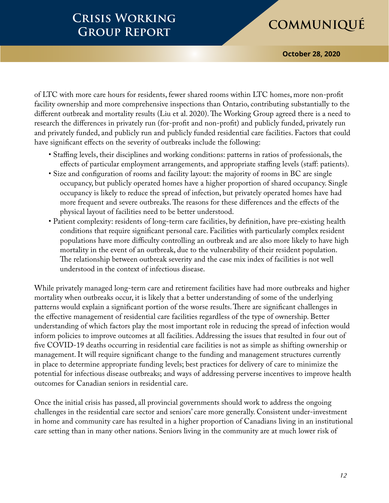**October 28, 2020**

of LTC with more care hours for residents, fewer shared rooms within LTC homes, more non-profit facility ownership and more comprehensive inspections than Ontario, contributing substantially to the different outbreak and mortality results (Liu et al. 2020). The Working Group agreed there is a need to research the differences in privately run (for-profit and non-profit) and publicly funded, privately run and privately funded, and publicly run and publicly funded residential care facilities. Factors that could have significant effects on the severity of outbreaks include the following:

- Staffing levels, their disciplines and working conditions: patterns in ratios of professionals, the effects of particular employment arrangements, and appropriate staffing levels (staff: patients).
- Size and configuration of rooms and facility layout: the majority of rooms in BC are single occupancy, but publicly operated homes have a higher proportion of shared occupancy. Single occupancy is likely to reduce the spread of infection, but privately operated homes have had more frequent and severe outbreaks. The reasons for these differences and the effects of the physical layout of facilities need to be better understood.
- Patient complexity: residents of long-term care facilities, by definition, have pre-existing health conditions that require significant personal care. Facilities with particularly complex resident populations have more difficulty controlling an outbreak and are also more likely to have high mortality in the event of an outbreak, due to the vulnerability of their resident population. The relationship between outbreak severity and the case mix index of facilities is not well understood in the context of infectious disease.

While privately managed long-term care and retirement facilities have had more outbreaks and higher mortality when outbreaks occur, it is likely that a better understanding of some of the underlying patterns would explain a significant portion of the worse results. There are significant challenges in the effective management of residential care facilities regardless of the type of ownership. Better understanding of which factors play the most important role in reducing the spread of infection would inform policies to improve outcomes at all facilities. Addressing the issues that resulted in four out of five COVID-19 deaths occurring in residential care facilities is not as simple as shifting ownership or management. It will require significant change to the funding and management structures currently in place to determine appropriate funding levels; best practices for delivery of care to minimize the potential for infectious disease outbreaks; and ways of addressing perverse incentives to improve health outcomes for Canadian seniors in residential care.

Once the initial crisis has passed, all provincial governments should work to address the ongoing challenges in the residential care sector and seniors' care more generally. Consistent under-investment in home and community care has resulted in a higher proportion of Canadians living in an institutional care setting than in many other nations. Seniors living in the community are at much lower risk of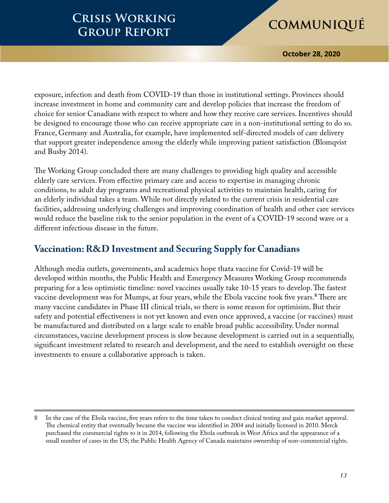**October 28, 2020**

exposure, infection and death from COVID-19 than those in institutional settings. Provinces should increase investment in home and community care and develop policies that increase the freedom of choice for senior Canadians with respect to where and how they receive care services. Incentives should be designed to encourage those who can receive appropriate care in a non-institutional setting to do so. France, Germany and Australia, for example, have implemented self-directed models of care delivery that support greater independence among the elderly while improving patient satisfaction (Blomqvist and Busby 2014).

The Working Group concluded there are many challenges to providing high quality and accessible elderly care services. From effective primary care and access to expertise in managing chronic conditions, to adult day programs and recreational physical activities to maintain health, caring for an elderly individual takes a team. While not directly related to the current crisis in residential care facilities, addressing underlying challenges and improving coordination of health and other care services would reduce the baseline risk to the senior population in the event of a COVID-19 second wave or a different infectious disease in the future.

### **Vaccination: R&D Investment and Securing Supply for Canadians**

Although media outlets, governments, and academics hope thata vaccine for Covid-19 will be developed within months, the Public Health and Emergency Measures Working Group recommends preparing for a less optimistic timeline: novel vaccines usually take 10-15 years to develop. The fastest vaccine development was for Mumps, at four years, while the Ebola vaccine took five years.**<sup>8</sup>** There are many vaccine candidates in Phase III clinical trials, so there is some reason for optimisim. But their safety and potential effectiveness is not yet known and even once approved, a vaccine (or vaccines) must be manufactured and distributed on a large scale to enable broad public accessibility. Under normal circumstances, vaccine development process is slow because development is carried out in a sequentially, significant investment related to research and development, and the need to establish oversight on these investments to ensure a collaborative approach is taken.

<sup>8</sup> In the case of the Ebola vaccine, five years refers to the time taken to conduct clinical testing and gain market approval. The chemical entity that eventually became the vaccine was identified in 2004 and initially licensed in 2010. Merck purchased the commercial rights to it in 2014, following the Ebola outbreak in West Africa and the appearance of a small number of cases in the US; the Public Health Agency of Canada maintains ownership of non-commercial rights.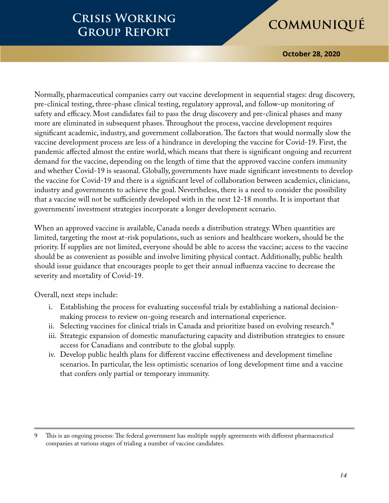**October 28, 2020**

Normally, pharmaceutical companies carry out vaccine development in sequential stages: drug discovery, pre-clinical testing, three-phase clinical testing, regulatory approval, and follow-up monitoring of safety and efficacy. Most candidates fail to pass the drug discovery and pre-clinical phases and many more are eliminated in subsequent phases. Throughout the process, vaccine development requires significant academic, industry, and government collaboration. The factors that would normally slow the vaccine development process are less of a hindrance in developing the vaccine for Covid-19. First, the pandemic affected almost the entire world, which means that there is significant ongoing and recurrent demand for the vaccine, depending on the length of time that the approved vaccine confers immunity and whether Covid-19 is seasonal. Globally, governments have made significant investments to develop the vaccine for Covid-19 and there is a significant level of collaboration between academics, clinicians, industry and governments to achieve the goal. Nevertheless, there is a need to consider the possibility that a vaccine will not be sufficiently developed with in the next 12-18 months. It is important that governments' investment strategies incorporate a longer development scenario.

When an approved vaccine is available, Canada needs a distribution strategy. When quantities are limited, targeting the most at-risk populations, such as seniors and healthcare workers, should be the priority. If supplies are not limited, everyone should be able to access the vaccine; access to the vaccine should be as convenient as possible and involve limiting physical contact. Additionally, public health should issue guidance that encourages people to get their annual influenza vaccine to decrease the severity and mortality of Covid-19.

Overall, next steps include:

- i. Establishing the process for evaluating successful trials by establishing a national decisionmaking process to review on-going research and international experience.
- ii. Selecting vaccines for clinical trials in Canada and prioritize based on evolving research.**<sup>9</sup>**
- iii. Strategic expansion of domestic manufacturing capacity and distribution strategies to ensure access for Canadians and contribute to the global supply.
- iv. Develop public health plans for different vaccine effectiveness and development timeline scenarios. In particular, the less optimistic scenarios of long development time and a vaccine that confers only partial or temporary immunity.

<sup>9</sup> This is an ongoing process: The federal government has multiple supply agreements with different pharmaceutical companies at various stages of trialing a number of vaccine candidates.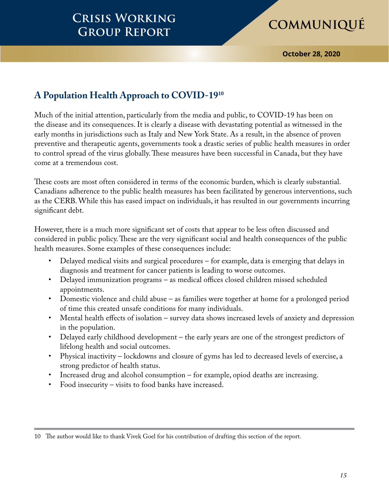**October 28, 2020**

## **A Population Health Approach to COVID-1910**

Much of the initial attention, particularly from the media and public, to COVID-19 has been on the disease and its consequences. It is clearly a disease with devastating potential as witnessed in the early months in jurisdictions such as Italy and New York State. As a result, in the absence of proven preventive and therapeutic agents, governments took a drastic series of public health measures in order to control spread of the virus globally. These measures have been successful in Canada, but they have come at a tremendous cost.

These costs are most often considered in terms of the economic burden, which is clearly substantial. Canadians adherence to the public health measures has been facilitated by generous interventions, such as the CERB. While this has eased impact on individuals, it has resulted in our governments incurring significant debt.

However, there is a much more significant set of costs that appear to be less often discussed and considered in public policy. These are the very significant social and health consequences of the public health measures. Some examples of these consequences include:

- Delayed medical visits and surgical procedures for example, data is emerging that delays in diagnosis and treatment for cancer patients is leading to worse outcomes.
- Delayed immunization programs as medical offices closed children missed scheduled appointments.
- Domestic violence and child abuse as families were together at home for a prolonged period of time this created unsafe conditions for many individuals.
- Mental health effects of isolation survey data shows increased levels of anxiety and depression in the population.
- Delayed early childhood development the early years are one of the strongest predictors of lifelong health and social outcomes.
- Physical inactivity lockdowns and closure of gyms has led to decreased levels of exercise, a strong predictor of health status.
- Increased drug and alcohol consumption for example, opiod deaths are increasing.
- Food insecurity visits to food banks have increased.

<sup>10</sup> The author would like to thank Vivek Goel for his contribution of drafting this section of the report.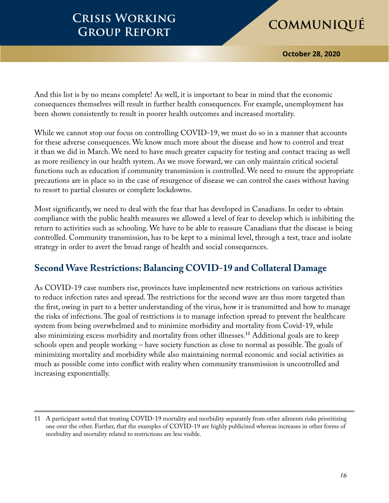**October 28, 2020**

And this list is by no means complete! As well, it is important to bear in mind that the economic consequences themselves will result in further health consequences. For example, unemployment has been shown consistently to result in poorer health outcomes and increased mortality.

While we cannot stop our focus on controlling COVID-19, we must do so in a manner that accounts for these adverse consequences. We know much more about the disease and how to control and treat it than we did in March. We need to have much greater capacity for testing and contact tracing as well as more resiliency in our health system. As we move forward, we can only maintain critical societal functions such as education if community transmission is controlled. We need to ensure the appropriate precautions are in place so in the case of resurgence of disease we can control the cases without having to resort to partial closures or complete lockdowns.

Most significantly, we need to deal with the fear that has developed in Canadians. In order to obtain compliance with the public health measures we allowed a level of fear to develop which is inhibiting the return to activities such as schooling. We have to be able to reassure Canadians that the disease is being controlled. Community transmission, has to be kept to a minimal level, through a test, trace and isolate strategy in order to avert the broad range of health and social consequences.

### **Second Wave Restrictions: Balancing COVID-19 and Collateral Damage**

As COVID-19 case numbers rise, provinces have implemented new restrictions on various activities to reduce infection rates and spread. The restrictions for the second wave are thus more targeted than the first, owing in part to a better understanding of the virus, how it is transmitted and how to manage the risks of infections. The goal of restrictions is to manage infection spread to prevent the healthcare system from being overwhelmed and to minimize morbidity and mortality from Covid-19, while also minimizing excess morbidity and mortality from other illnesses.**<sup>11</sup>** Additional goals are to keep schools open and people working – have society function as close to normal as possible. The goals of minimizing mortality and morbidity while also maintaining normal economic and social activities as much as possible come into conflict with reality when community transmission is uncontrolled and increasing exponentially.

<sup>11</sup> A participant noted that treating COVID-19 mortality and morbidity separately from other ailments risks prioritizing one over the other. Further, that the examples of COVID-19 are highly publicized whereas increases in other forms of morbidity and mortality related to restrictions are less visible.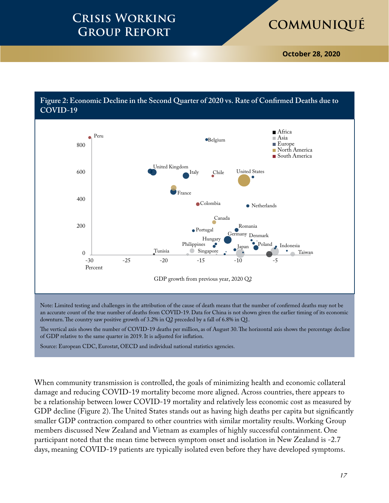**October 28, 2020**

Poland Indonesia<br>Taiwan

Romania

Germany <sub>Denmark</sub>

Tunisia Singapore Singapore Taiwan Japan

Canada



Note: Limited testing and challenges in the attribution of the cause of death means that the number of confirmed deaths may not be an accurate count of the true number of deaths from COVID-19. Data for China is not shown given the earlier timing of its economic downturn. The country saw positive growth of 3.2% in Q2 preceded by a fall of 6.8% in Q1.

 $-30$   $-25$   $-20$   $-15$   $-10$   $-5$ 

GDP growth from previous year, 2020 Q2

Philippines •

Portugal

Hungary

The vertical axis shows the number of COVID-19 deaths per million, as of August 30. The horizontal axis shows the percentage decline of GDP relative to the same quarter in 2019. It is adjusted for inflation.

Source: European CDC, Eurostat, OECD and individual national statistics agencies.

 $0 \perp$ <br>-30

Percent

200

When community transmission is controlled, the goals of minimizing health and economic collateral damage and reducing COVID-19 mortality become more aligned. Across countries, there appears to be a relationship between lower COVID-19 mortality and relatively less economic cost as measured by GDP decline (Figure 2). The United States stands out as having high deaths per capita but significantly smaller GDP contraction compared to other countries with similar mortality results. Working Group members discussed New Zealand and Vietnam as examples of highly successful containment. One participant noted that the mean time between symptom onset and isolation in New Zealand is -2.7 days, meaning COVID-19 patients are typically isolated even before they have developed symptoms.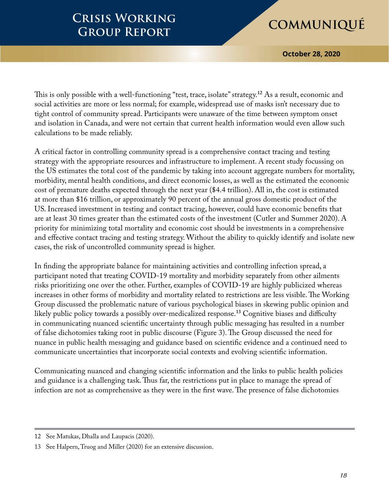**October 28, 2020**

This is only possible with a well-functioning "test, trace, isolate" strategy.**<sup>12</sup>** As a result, economic and social activities are more or less normal; for example, widespread use of masks isn't necessary due to tight control of community spread. Participants were unaware of the time between symptom onset and isolation in Canada, and were not certain that current health information would even allow such calculations to be made reliably.

A critical factor in controlling community spread is a comprehensive contact tracing and testing strategy with the appropriate resources and infrastructure to implement. A recent study focussing on the US estimates the total cost of the pandemic by taking into account aggregate numbers for mortality, morbidity, mental health conditions, and direct economic losses, as well as the estimated the economic cost of premature deaths expected through the next year (\$4.4 trillion). All in, the cost is estimated at more than \$16 trillion, or approximately 90 percent of the annual gross domestic product of the US. Increased investment in testing and contact tracing, however, could have economic benefits that are at least 30 times greater than the estimated costs of the investment (Cutler and Summer 2020). A priority for minimizing total mortality and economic cost should be investments in a comprehensive and effective contact tracing and testing strategy. Without the ability to quickly identify and isolate new cases, the risk of uncontrolled community spread is higher.

In finding the appropriate balance for maintaining activities and controlling infection spread, a participant noted that treating COVID-19 mortality and morbidity separately from other ailments risks prioritizing one over the other. Further, examples of COVID-19 are highly publicized whereas increases in other forms of morbidity and mortality related to restrictions are less visible. The Working Group discussed the problematic nature of various psychological biases in skewing public opinion and likely public policy towards a possibly over-medicalized response.**<sup>13</sup>** Cognitive biases and difficulty in communicating nuanced scientific uncertainty through public messaging has resulted in a number of false dichotomies taking root in public discourse (Figure 3). The Group discussed the need for nuance in public health messaging and guidance based on scientific evidence and a continued need to communicate uncertainties that incorporate social contexts and evolving scientific information.

Communicating nuanced and changing scientific information and the links to public health policies and guidance is a challenging task. Thus far, the restrictions put in place to manage the spread of infection are not as comprehensive as they were in the first wave. The presence of false dichotomies

<sup>12</sup> See Matukas, Dhalla and Laupacis (2020).

<sup>13</sup> See Halpern, Truog and Miller (2020) for an extensive discussion.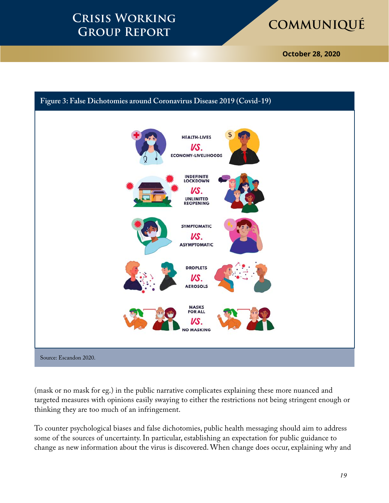

**October 28, 2020**



(mask or no mask for eg.) in the public narrative complicates explaining these more nuanced and targeted measures with opinions easily swaying to either the restrictions not being stringent enough or thinking they are too much of an infringement.

To counter psychological biases and false dichotomies, public health messaging should aim to address some of the sources of uncertainty. In particular, establishing an expectation for public guidance to change as new information about the virus is discovered. When change does occur, explaining why and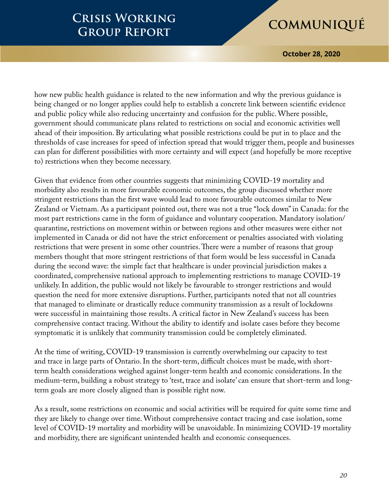**October 28, 2020**

how new public health guidance is related to the new information and why the previous guidance is being changed or no longer applies could help to establish a concrete link between scientific evidence and public policy while also reducing uncertainty and confusion for the public. Where possible, government should communicate plans related to restrictions on social and economic activities well ahead of their imposition. By articulating what possible restrictions could be put in to place and the thresholds of case increases for speed of infection spread that would trigger them, people and businesses can plan for different possibilities with more certainty and will expect (and hopefully be more receptive to) restrictions when they become necessary.

Given that evidence from other countries suggests that minimizing COVID-19 mortality and morbidity also results in more favourable economic outcomes, the group discussed whether more stringent restrictions than the first wave would lead to more favourable outcomes similar to New Zealand or Vietnam. As a participant pointed out, there was not a true "lock down" in Canada: for the most part restrictions came in the form of guidance and voluntary cooperation. Mandatory isolation/ quarantine, restrictions on movement within or between regions and other measures were either not implemented in Canada or did not have the strict enforcement or penalties associated with violating restrictions that were present in some other countries. There were a number of reasons that group members thought that more stringent restrictions of that form would be less successful in Canada during the second wave: the simple fact that healthcare is under provincial jurisdiction makes a coordinated, comprehensive national approach to implementing restrictions to manage COVID-19 unlikely. In addition, the public would not likely be favourable to stronger restrictions and would question the need for more extensive disruptions. Further, participants noted that not all countries that managed to eliminate or drastically reduce community transmission as a result of lockdowns were successful in maintaining those results. A critical factor in New Zealand's success has been comprehensive contact tracing. Without the ability to identify and isolate cases before they become symptomatic it is unlikely that community transmission could be completely eliminated.

At the time of writing, COVID-19 transmission is currently overwhelming our capacity to test and trace in large parts of Ontario. In the short-term, difficult choices must be made, with shortterm health considerations weighed against longer-term health and economic considerations. In the medium-term, building a robust strategy to 'test, trace and isolate' can ensure that short-term and longterm goals are more closely aligned than is possible right now.

As a result, some restrictions on economic and social activities will be required for quite some time and they are likely to change over time. Without comprehensive contact tracing and case isolation, some level of COVID-19 mortality and morbidity will be unavoidable. In minimizing COVID-19 mortality and morbidity, there are significant unintended health and economic consequences.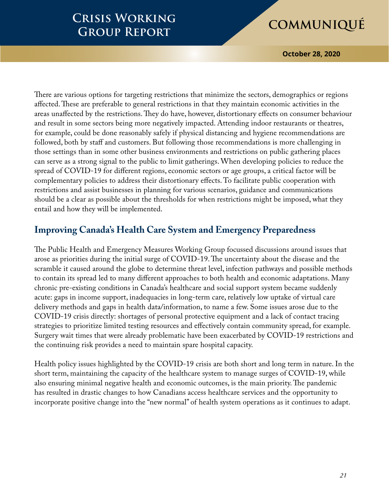**October 28, 2020**

There are various options for targeting restrictions that minimize the sectors, demographics or regions affected. These are preferable to general restrictions in that they maintain economic activities in the areas unaffected by the restrictions. They do have, however, distortionary effects on consumer behaviour and result in some sectors being more negatively impacted. Attending indoor restaurants or theatres, for example, could be done reasonably safely if physical distancing and hygiene recommendations are followed, both by staff and customers. But following those recommendations is more challenging in those settings than in some other business environments and restrictions on public gathering places can serve as a strong signal to the public to limit gatherings. When developing policies to reduce the spread of COVID-19 for different regions, economic sectors or age groups, a critical factor will be complementary policies to address their distortionary effects. To facilitate public cooperation with restrictions and assist businesses in planning for various scenarios, guidance and communications should be a clear as possible about the thresholds for when restrictions might be imposed, what they entail and how they will be implemented.

## **Improving Canada's Health Care System and Emergency Preparedness**

The Public Health and Emergency Measures Working Group focussed discussions around issues that arose as priorities during the initial surge of COVID-19. The uncertainty about the disease and the scramble it caused around the globe to determine threat level, infection pathways and possible methods to contain its spread led to many different approaches to both health and economic adaptations. Many chronic pre-existing conditions in Canada's healthcare and social support system became suddenly acute: gaps in income support, inadequacies in long-term care, relatively low uptake of virtual care delivery methods and gaps in health data/information, to name a few. Some issues arose due to the COVID-19 crisis directly: shortages of personal protective equipment and a lack of contact tracing strategies to prioritize limited testing resources and effectively contain community spread, for example. Surgery wait times that were already problematic have been exacerbated by COVID-19 restrictions and the continuing risk provides a need to maintain spare hospital capacity.

Health policy issues highlighted by the COVID-19 crisis are both short and long term in nature. In the short term, maintaining the capacity of the healthcare system to manage surges of COVID-19, while also ensuring minimal negative health and economic outcomes, is the main priority. The pandemic has resulted in drastic changes to how Canadians access healthcare services and the opportunity to incorporate positive change into the "new normal" of health system operations as it continues to adapt.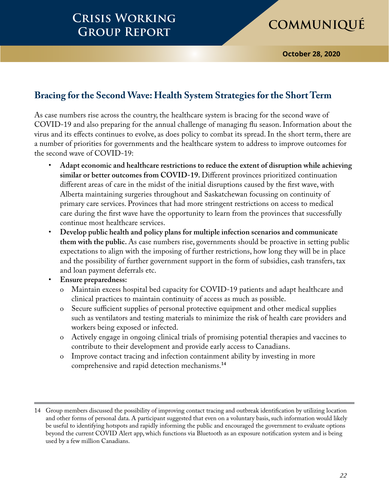**October 28, 2020**

### **Bracing for the Second Wave: Health System Strategies for the Short Term**

As case numbers rise across the country, the healthcare system is bracing for the second wave of COVID-19 and also preparing for the annual challenge of managing flu season. Information about the virus and its effects continues to evolve, as does policy to combat its spread. In the short term, there are a number of priorities for governments and the healthcare system to address to improve outcomes for the second wave of COVID-19:

- **Adapt economic and healthcare restrictions to reduce the extent of disruption while achieving similar or better outcomes from COVID-19.** Different provinces prioritized continuation different areas of care in the midst of the initial disruptions caused by the first wave, with Alberta maintaining surgeries throughout and Saskatchewan focussing on continuity of primary care services. Provinces that had more stringent restrictions on access to medical care during the first wave have the opportunity to learn from the provinces that successfully continue most healthcare services.
- **Develop public health and policy plans for multiple infection scenarios and communicate them with the public.** As case numbers rise, governments should be proactive in setting public expectations to align with the imposing of further restrictions, how long they will be in place and the possibility of further government support in the form of subsidies, cash transfers, tax and loan payment deferrals etc.
- **Ensure preparedness:** 
	- o Maintain excess hospital bed capacity for COVID-19 patients and adapt healthcare and clinical practices to maintain continuity of access as much as possible.
	- o Secure sufficient supplies of personal protective equipment and other medical supplies such as ventilators and testing materials to minimize the risk of health care providers and workers being exposed or infected.
	- o Actively engage in ongoing clinical trials of promising potential therapies and vaccines to contribute to their development and provide early access to Canadians.
	- o Improve contact tracing and infection containment ability by investing in more comprehensive and rapid detection mechanisms.**<sup>14</sup>**

<sup>14</sup> Group members discussed the possibility of improving contact tracing and outbreak identification by utilizing location and other forms of personal data. A participant suggested that even on a voluntary basis, such information would likely be useful to identifying hotspots and rapidly informing the public and encouraged the government to evaluate options beyond the current COVID Alert app, which functions via Bluetooth as an exposure notification system and is being used by a few million Canadians.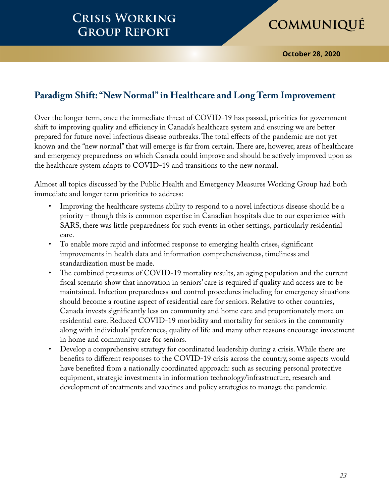**October 28, 2020**

### **Paradigm Shift: "New Normal" in Healthcare and Long Term Improvement**

Over the longer term, once the immediate threat of COVID-19 has passed, priorities for government shift to improving quality and efficiency in Canada's healthcare system and ensuring we are better prepared for future novel infectious disease outbreaks. The total effects of the pandemic are not yet known and the "new normal" that will emerge is far from certain. There are, however, areas of healthcare and emergency preparedness on which Canada could improve and should be actively improved upon as the healthcare system adapts to COVID-19 and transitions to the new normal.

Almost all topics discussed by the Public Health and Emergency Measures Working Group had both immediate and longer term priorities to address:

- Improving the healthcare systems ability to respond to a novel infectious disease should be a priority – though this is common expertise in Canadian hospitals due to our experience with SARS, there was little preparedness for such events in other settings, particularly residential care.
- To enable more rapid and informed response to emerging health crises, significant improvements in health data and information comprehensiveness, timeliness and standardization must be made.
- The combined pressures of COVID-19 mortality results, an aging population and the current fiscal scenario show that innovation in seniors' care is required if quality and access are to be maintained. Infection preparedness and control procedures including for emergency situations should become a routine aspect of residential care for seniors. Relative to other countries, Canada invests significantly less on community and home care and proportionately more on residential care. Reduced COVID-19 morbidity and mortality for seniors in the community along with individuals' preferences, quality of life and many other reasons encourage investment in home and community care for seniors.
- Develop a comprehensive strategy for coordinated leadership during a crisis. While there are benefits to different responses to the COVID-19 crisis across the country, some aspects would have benefited from a nationally coordinated approach: such as securing personal protective equipment, strategic investments in information technology/infrastructure, research and development of treatments and vaccines and policy strategies to manage the pandemic.